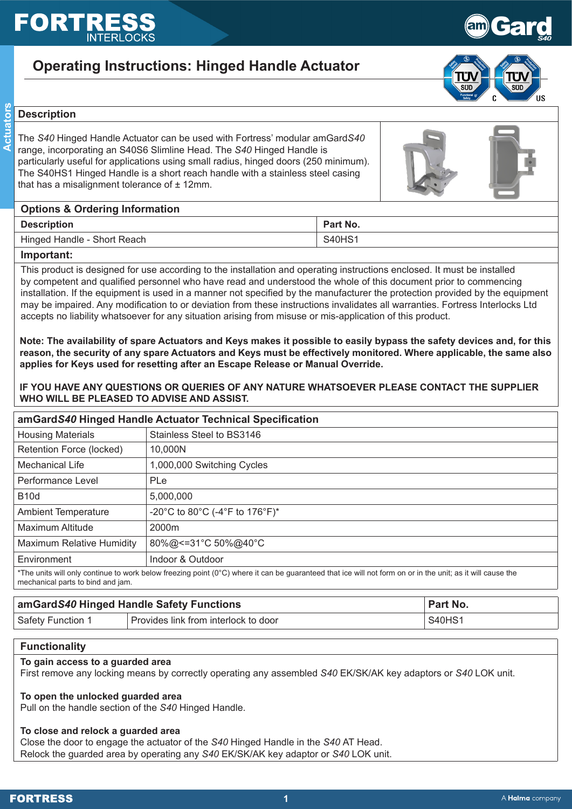# EORT

# **Operating Instructions: Hinged Handle Actuator**



Gard

*S40*

# Actuators **ActuatorsDescription**

The *S40* Hinged Handle Actuator can be used with Fortress' modular amGard*S40* range, incorporating an S40S6 Slimline Head. The *S40* Hinged Handle is particularly useful for applications using small radius, hinged doors (250 minimum). The S40HS1 Hinged Handle is a short reach handle with a stainless steel casing that has a misalignment tolerance of  $±$  12mm.



# **Options & Ordering Information**

| <b>Description</b>           | Part No.           |
|------------------------------|--------------------|
| Short Reach<br>Hinged Handle | S40HS <sup>.</sup> |

# **Important:**

This product is designed for use according to the installation and operating instructions enclosed. It must be installed by competent and qualified personnel who have read and understood the whole of this document prior to commencing installation. If the equipment is used in a manner not specified by the manufacturer the protection provided by the equipment may be impaired. Any modification to or deviation from these instructions invalidates all warranties. Fortress Interlocks Ltd accepts no liability whatsoever for any situation arising from misuse or mis-application of this product.

**Note: The availability of spare Actuators and Keys makes it possible to easily bypass the safety devices and, for this reason, the security of any spare Actuators and Keys must be effectively monitored. Where applicable, the same also applies for Keys used for resetting after an Escape Release or Manual Override.**

**IF YOU HAVE ANY QUESTIONS OR QUERIES OF ANY NATURE WHATSOEVER PLEASE CONTACT THE SUPPLIER WHO WILL BE PLEASED TO ADVISE AND ASSIST.**

| amGardS40 Hinged Handle Actuator Technical Specification |                                                                                                                                                            |  |
|----------------------------------------------------------|------------------------------------------------------------------------------------------------------------------------------------------------------------|--|
| <b>Housing Materials</b>                                 | Stainless Steel to BS3146                                                                                                                                  |  |
| Retention Force (locked)                                 | 10.000N                                                                                                                                                    |  |
| <b>Mechanical Life</b>                                   | 1,000,000 Switching Cycles                                                                                                                                 |  |
| Performance Level                                        | <b>PLe</b>                                                                                                                                                 |  |
| <b>B10d</b>                                              | 5,000,000                                                                                                                                                  |  |
| <b>Ambient Temperature</b>                               | -20°C to 80°C (-4°F to 176°F)*                                                                                                                             |  |
| Maximum Altitude                                         | 2000m                                                                                                                                                      |  |
| <b>Maximum Relative Humidity</b>                         | 80%@<=31°C 50%@40°C                                                                                                                                        |  |
| Environment                                              | Indoor & Outdoor                                                                                                                                           |  |
| mechanical parts to bind and jam.                        | *The units will only continue to work below freezing point (0°C) where it can be guaranteed that ice will not form on or in the unit; as it will cause the |  |

| amGardS40 Hinged Handle Safety Functions |                                      | Part No.      |
|------------------------------------------|--------------------------------------|---------------|
| <b>Safety Function 1</b>                 | Provides link from interlock to door | <b>S40HS1</b> |

# **Functionality**

# **To gain access to a guarded area**

First remove any locking means by correctly operating any assembled *S40* EK/SK/AK key adaptors or *S40* LOK unit.

# **To open the unlocked guarded area**

Pull on the handle section of the *S40* Hinged Handle.

# **To close and relock a guarded area**

Close the door to engage the actuator of the *S40* Hinged Handle in the *S40* AT Head. Relock the guarded area by operating any *S40* EK/SK/AK key adaptor or *S40* LOK unit.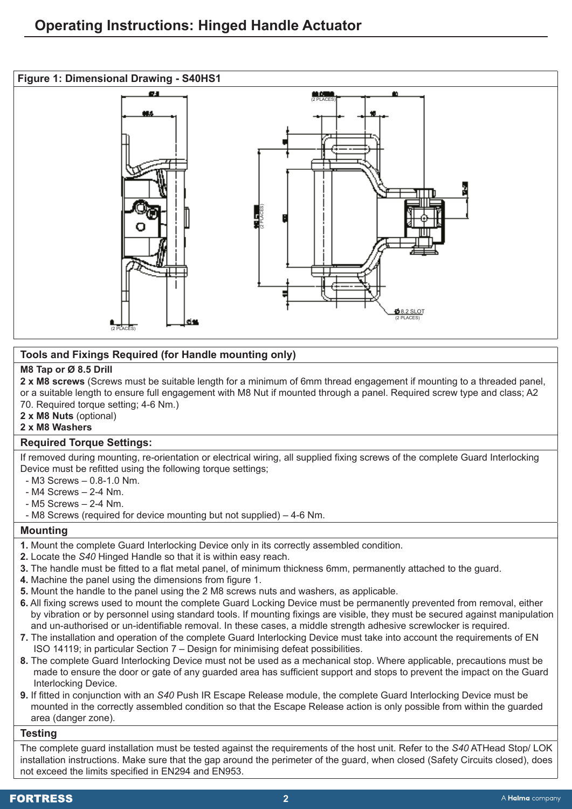

# **Tools and Fixings Required (for Handle mounting only)**

# **M8 Tap or Ø 8.5 Drill**

**2 x M8 screws** (Screws must be suitable length for a minimum of 6mm thread engagement if mounting to a threaded panel, or a suitable length to ensure full engagement with M8 Nut if mounted through a panel. Required screw type and class; A2 70. Required torque setting; 4-6 Nm.)

**2 x M8 Nuts** (optional)

# **2 x M8 Washers**

# **Required Torque Settings:**

If removed during mounting, re-orientation or electrical wiring, all supplied fixing screws of the complete Guard Interlocking Device must be refitted using the following torque settings;

- M3 Screws 0.8-1.0 Nm.
- M4 Screws 2-4 Nm.
- M5 Screws 2-4 Nm.
- M8 Screws (required for device mounting but not supplied) 4-6 Nm.

# **Mounting**

- **1.** Mount the complete Guard Interlocking Device only in its correctly assembled condition.
- **2.** Locate the *S40* Hinged Handle so that it is within easy reach.
- **3.** The handle must be fitted to a flat metal panel, of minimum thickness 6mm, permanently attached to the guard.
- **4.** Machine the panel using the dimensions from figure 1.
- **5.** Mount the handle to the panel using the 2 M8 screws nuts and washers, as applicable.
- **6.** All fixing screws used to mount the complete Guard Locking Device must be permanently prevented from removal, either by vibration or by personnel using standard tools. If mounting fixings are visible, they must be secured against manipulation and un-authorised or un-identifiable removal. In these cases, a middle strength adhesive screwlocker is required.
- **7.** The installation and operation of the complete Guard Interlocking Device must take into account the requirements of EN ISO 14119; in particular Section 7 – Design for minimising defeat possibilities.
- **8.** The complete Guard Interlocking Device must not be used as a mechanical stop. Where applicable, precautions must be made to ensure the door or gate of any guarded area has sufficient support and stops to prevent the impact on the Guard Interlocking Device.
- **9.** If fitted in conjunction with an *S40* Push IR Escape Release module, the complete Guard Interlocking Device must be mounted in the correctly assembled condition so that the Escape Release action is only possible from within the guarded area (danger zone).

#### **Testing**

The complete guard installation must be tested against the requirements of the host unit. Refer to the *S40* ATHead Stop/ LOK installation instructions. Make sure that the gap around the perimeter of the guard, when closed (Safety Circuits closed), does not exceed the limits specified in EN294 and EN953.